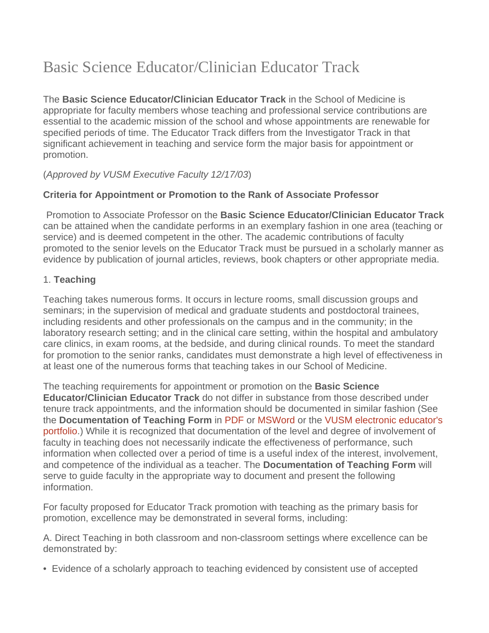# Basic Science Educator/Clinician Educator Track

The **Basic Science Educator/Clinician Educator Track** in the School of Medicine is appropriate for faculty members whose teaching and professional service contributions are essential to the academic mission of the school and whose appointments are renewable for specified periods of time. The Educator Track differs from the Investigator Track in that significant achievement in teaching and service form the major basis for appointment or promotion.

## (*Approved by VUSM Executive Faculty 12/17/03*)

## **Criteria for Appointment or Promotion to the Rank of Associate Professor**

Promotion to Associate Professor on the **Basic Science Educator/Clinician Educator Track** can be attained when the candidate performs in an exemplary fashion in one area (teaching or service) and is deemed competent in the other. The academic contributions of faculty promoted to the senior levels on the Educator Track must be pursued in a scholarly manner as evidence by publication of journal articles, reviews, book chapters or other appropriate media.

#### 1. **Teaching**

Teaching takes numerous forms. It occurs in lecture rooms, small discussion groups and seminars; in the supervision of medical and graduate students and postdoctoral trainees, including residents and other professionals on the campus and in the community; in the laboratory research setting; and in the clinical care setting, within the hospital and ambulatory care clinics, in exam rooms, at the bedside, and during clinical rounds. To meet the standard for promotion to the senior ranks, candidates must demonstrate a high level of effectiveness in at least one of the numerous forms that teaching takes in our School of Medicine.

The teaching requirements for appointment or promotion on the **Basic Science Educator/Clinician Educator Track** do not differ in substance from those described under tenure track appointments, and the information should be documented in similar fashion (See the **Documentation of Teaching Form** in [PDF](https://medschool.vanderbilt.edu/faculty/files/faculty/public_files/TeachingForm.pdf) or [MSWord](https://medschool.vanderbilt.edu/faculty/files/faculty/public_files/TeachingForm.doc) or the [VUSM electronic educator's](https://medapps.mc.vanderbilt.edu/eduport)  [portfolio.](https://medapps.mc.vanderbilt.edu/eduport)) While it is recognized that documentation of the level and degree of involvement of faculty in teaching does not necessarily indicate the effectiveness of performance, such information when collected over a period of time is a useful index of the interest, involvement, and competence of the individual as a teacher. The **Documentation of Teaching Form** will serve to guide faculty in the appropriate way to document and present the following information.

For faculty proposed for Educator Track promotion with teaching as the primary basis for promotion, excellence may be demonstrated in several forms, including:

A. Direct Teaching in both classroom and non-classroom settings where excellence can be demonstrated by:

• Evidence of a scholarly approach to teaching evidenced by consistent use of accepted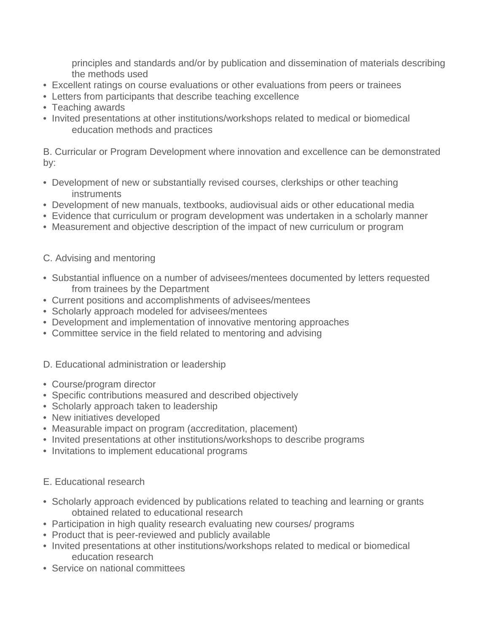principles and standards and/or by publication and dissemination of materials describing the methods used

- Excellent ratings on course evaluations or other evaluations from peers or trainees
- Letters from participants that describe teaching excellence
- Teaching awards
- Invited presentations at other institutions/workshops related to medical or biomedical education methods and practices

B. Curricular or Program Development where innovation and excellence can be demonstrated by:

- Development of new or substantially revised courses, clerkships or other teaching instruments
- Development of new manuals, textbooks, audiovisual aids or other educational media
- Evidence that curriculum or program development was undertaken in a scholarly manner
- Measurement and objective description of the impact of new curriculum or program

#### C. Advising and mentoring

- Substantial influence on a number of advisees/mentees documented by letters requested from trainees by the Department
- Current positions and accomplishments of advisees/mentees
- Scholarly approach modeled for advisees/mentees
- Development and implementation of innovative mentoring approaches
- Committee service in the field related to mentoring and advising

#### D. Educational administration or leadership

- Course/program director
- Specific contributions measured and described objectively
- Scholarly approach taken to leadership
- New initiatives developed
- Measurable impact on program (accreditation, placement)
- Invited presentations at other institutions/workshops to describe programs
- Invitations to implement educational programs

#### E. Educational research

- Scholarly approach evidenced by publications related to teaching and learning or grants obtained related to educational research
- Participation in high quality research evaluating new courses/ programs
- Product that is peer-reviewed and publicly available
- Invited presentations at other institutions/workshops related to medical or biomedical education research
- Service on national committees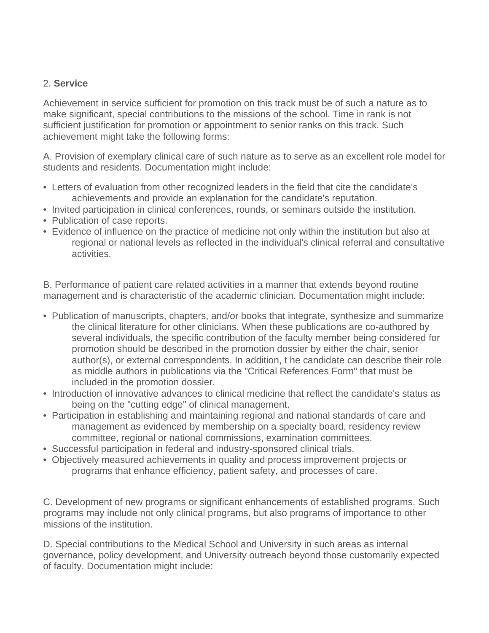#### 2. **Service**

Achievement in service sufficient for promotion on this track must be of such a nature as to make significant, special contributions to the missions of the school. Time in rank is not sufficient justification for promotion or appointment to senior ranks on this track. Such achievement might take the following forms:

A. Provision of exemplary clinical care of such nature as to serve as an excellent role model for students and residents. Documentation might include:

- Letters of evaluation from other recognized leaders in the field that cite the candidate's achievements and provide an explanation for the candidate's reputation.
- Invited participation in clinical conferences, rounds, or seminars outside the institution.
- Publication of case reports.
- Evidence of influence on the practice of medicine not only within the institution but also at regional or national levels as reflected in the individual's clinical referral and consultative activities.

B. Performance of patient care related activities in a manner that extends beyond routine management and is characteristic of the academic clinician. Documentation might include:

- Publication of manuscripts, chapters, and/or books that integrate, synthesize and summarize the clinical literature for other clinicians. When these publications are co-authored by several individuals, the specific contribution of the faculty member being considered for promotion should be described in the promotion dossier by either the chair, senior author(s), or external correspondents. In addition, t he candidate can describe their role as middle authors in publications via the "Critical References Form" that must be included in the promotion dossier.
- Introduction of innovative advances to clinical medicine that reflect the candidate's status as being on the "cutting edge" of clinical management.
- Participation in establishing and maintaining regional and national standards of care and management as evidenced by membership on a specialty board, residency review committee, regional or national commissions, examination committees.
- Successful participation in federal and industry-sponsored clinical trials.
- Objectively measured achievements in quality and process improvement projects or programs that enhance efficiency, patient safety, and processes of care.

C. Development of new programs or significant enhancements of established programs. Such programs may include not only clinical programs, but also programs of importance to other missions of the institution.

D. Special contributions to the Medical School and University in such areas as internal governance, policy development, and University outreach beyond those customarily expected of faculty. Documentation might include: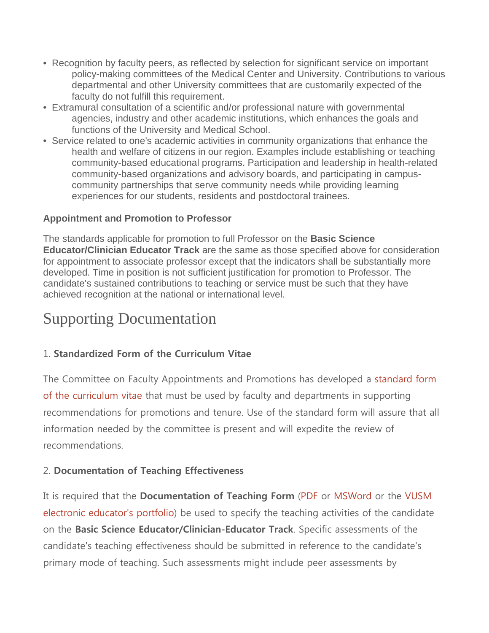- Recognition by faculty peers, as reflected by selection for significant service on important policy-making committees of the Medical Center and University. Contributions to various departmental and other University committees that are customarily expected of the faculty do not fulfill this requirement.
- Extramural consultation of a scientific and/or professional nature with governmental agencies, industry and other academic institutions, which enhances the goals and functions of the University and Medical School.
- Service related to one's academic activities in community organizations that enhance the health and welfare of citizens in our region. Examples include establishing or teaching community-based educational programs. Participation and leadership in health-related community-based organizations and advisory boards, and participating in campuscommunity partnerships that serve community needs while providing learning experiences for our students, residents and postdoctoral trainees.

## **Appointment and Promotion to Professor**

The standards applicable for promotion to full Professor on the **Basic Science Educator/Clinician Educator Track** are the same as those specified above for consideration for appointment to associate professor except that the indicators shall be substantially more developed. Time in position is not sufficient justification for promotion to Professor. The candidate's sustained contributions to teaching or service must be such that they have achieved recognition at the national or international level.

## Supporting Documentation

## 1. **Standardized Form of the Curriculum Vitae**

The Committee on Faculty Appointments and Promotions has developed a [standard form](https://medschool.vanderbilt.edu/faculty/required-format-curriculum-vitae)  [of the curriculum vitae](https://medschool.vanderbilt.edu/faculty/required-format-curriculum-vitae) that must be used by faculty and departments in supporting recommendations for promotions and tenure. Use of the standard form will assure that all information needed by the committee is present and will expedite the review of recommendations.

## 2. **Documentation of Teaching Effectiveness**

It is required that the **Documentation of Teaching Form** [\(PDF](https://medschool.vanderbilt.edu/faculty/files/faculty/public_files/TeachingForm.pdf) or [MSWord](https://medschool.vanderbilt.edu/faculty/files/faculty/public_files/TeachingForm.doc) or the [VUSM](https://medapps.mc.vanderbilt.edu/eduport)  [electronic educator's portfolio\)](https://medapps.mc.vanderbilt.edu/eduport) be used to specify the teaching activities of the candidate on the **Basic Science Educator/Clinician-Educator Track**. Specific assessments of the candidate's teaching effectiveness should be submitted in reference to the candidate's primary mode of teaching. Such assessments might include peer assessments by